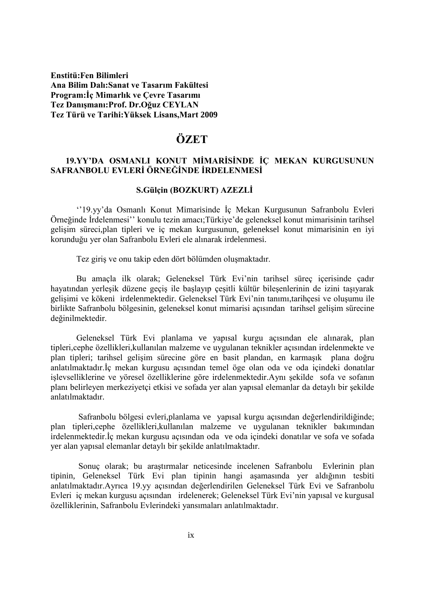**Enstitü:Fen Bilimleri Ana Bilim Dalı:Sanat ve Tasarım Fakültesi Program: İç Mimarlık ve Çevre Tasarımı Tez DanıĢmanı:Prof. Dr.Oğuz CEYLAN Tez Türü ve Tarihi:Yüksek Lisans,Mart 2009**

# **ÖZET**

## 19.YY'DA OSMANLI KONUT MİMARİSİNDE İÇ MEKAN KURGUSUNUN SAFRANBOLU EVLERİ ÖRNEĞİNDE İRDELENMESİ

### **S.Gülçin (BOZKURT) AZEZLĠ**

"19.yy'da Osmanlı Konut Mimarisinde İç Mekan Kurgusunun Safranbolu Evleri Örneğinde Ġrdelenmesi"" konulu tezin amacı;Türkiye"de geleneksel konut mimarisinin tarihsel gelişim süreci,plan tipleri ve iç mekan kurgusunun, geleneksel konut mimarisinin en iyi korunduğu yer olan Safranbolu Evleri ele alınarak irdelenmesi.

Tez giriş ve onu takip eden dört bölümden oluşmaktadır.

Bu amaçla ilk olarak; Geleneksel Türk Evi"nin tarihsel süreç içerisinde çadır hayatından yerleşik düzene geçiş ile başlayıp çeşitli kültür bileşenlerinin de izini taşıyarak gelişimi ve kökeni irdelenmektedir. Geleneksel Türk Evi'nin tanımı,tarihçesi ve oluşumu ile birlikte Safranbolu bölgesinin, geleneksel konut mimarisi açısından tarihsel gelişim sürecine değinilmektedir.

Geleneksel Türk Evi planlama ve yapısal kurgu açısından ele alınarak, plan tipleri,cephe özellikleri,kullanılan malzeme ve uygulanan teknikler açısından irdelenmekte ve plan tipleri; tarihsel gelişim sürecine göre en basit plandan, en karmaşık plana doğru anlatılmaktadır.İç mekan kurgusu açısından temel öge olan oda ve oda içindeki donatılar işlevselliklerine ve yöresel özelliklerine göre irdelenmektedir.Aynı şekilde sofa ve sofanın planı belirleyen merkeziyetçi etkisi ve sofada yer alan yapısal elemanlar da detaylı bir Ģekilde anlatılmaktadır.

Safranbolu bölgesi evleri,planlama ve yapısal kurgu açısından değerlendirildiğinde; plan tipleri,cephe özellikleri,kullanılan malzeme ve uygulanan teknikler bakımından irdelenmektedir.İç mekan kurgusu açısından oda ve oda içindeki donatılar ve sofa ve sofada yer alan yapısal elemanlar detaylı bir Ģekilde anlatılmaktadır.

Sonuc olarak; bu arastırmalar neticesinde incelenen Safranbolu Evlerinin plan tipinin, Geleneksel Türk Evi plan tipinin hangi aşamasında yer aldığının tesbiti anlatılmaktadır.Ayrıca 19.yy açısından değerlendirilen Geleneksel Türk Evi ve Safranbolu Evleri iç mekan kurgusu açısından irdelenerek; Geleneksel Türk Evi"nin yapısal ve kurgusal özelliklerinin, Safranbolu Evlerindeki yansımaları anlatılmaktadır.